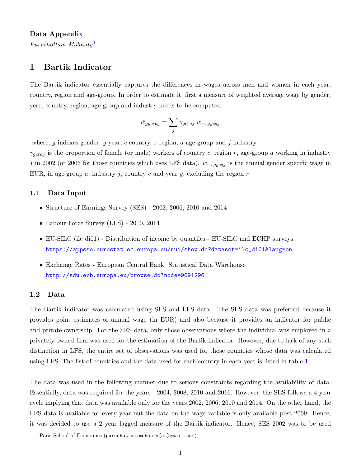### Data Appendix

Purushottam Mohanty<sup>[1](#page-0-0)</sup>

## 1 Bartik Indicator

The Bartik indicator essentially captures the differences in wages across men and women in each year, country, region and age-group. In order to estimate it, first a measure of weighted average wage by gender, year, country, region, age-group and industry needs to be computed:

$$
\bar{w}_{gycraj} = \sum_{j} \gamma_{gcraj} \ w_{-rgycaj}
$$

where, g indexes gender, y year, c country, r region, a age-group and j industry.

 $\gamma_{acraj}$  is the proportion of female (or male) workers of country c, region r, age-group a working in industry j in 2002 (or 2005 for those countries which uses LFS data).  $w_{-rgycaj}$  is the annual gender specific wage in EUR, in age-group a, industry j, country c and year y, excluding the region  $r$ .

### 1.1 Data Input

- Structure of Earnings Survey (SES) 2002, 2006, 2010 and 2014
- Labour Force Survey (LFS) 2010, 2014
- EU-SILC (ilc\_di01) Distribution of income by quantiles EU-SILC and ECHP surveys. [https://appsso.eurostat.ec.europa.eu/nui/show.do?dataset=ilc\\_di01&lang=en](https://appsso.eurostat.ec.europa.eu/nui/show.do?dataset=ilc_di01&lang=en)
- Exchange Rates European Central Bank: Statistical Data Warehouse <http://sdw.ecb.europa.eu/browse.do?node=9691296>

### 1.2 Data

The Bartik indicator was calculated using SES and LFS data. The SES data was preferred because it provides point estimates of annual wage (in EUR) and also because it provides an indicator for public and private ownership. For the SES data, only those observations where the individual was employed in a privately-owned firm was used for the estimation of the Bartik indicator. However, due to lack of any such distinction in LFS, the entire set of observations was used for those countries whose data was calculated using LFS. The list of countries and the data used for each country in each year is listed in table [1.](#page-2-0)

The data was used in the following manner due to serious constraints regarding the availability of data. Essentially, data was required for the years - 2004, 2008, 2010 and 2016. However, the SES follows a 4 year cycle implying that data was available only for the years 2002, 2006, 2010 and 2014. On the other hand, the LFS data is available for every year but the data on the wage variable is only available post 2009. Hence, it was decided to use a 2 year lagged measure of the Bartik indicator. Hence, SES 2002 was to be used

<span id="page-0-0"></span><sup>&</sup>lt;sup>1</sup>Paris School of Economics (purushottam.mohanty[at]gmail.com)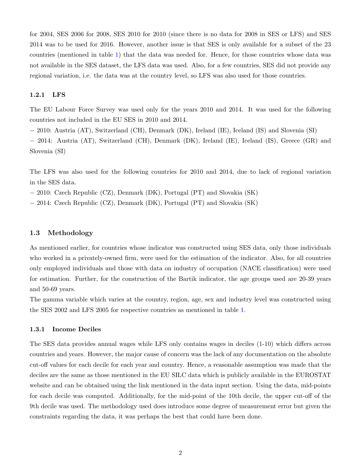for 2004, SES 2006 for 2008, SES 2010 for 2010 (since there is no data for 2008 in SES or LFS) and SES 2014 was to be used for 2016. However, another issue is that SES is only available for a subset of the 23 countries (mentioned in table [1\)](#page-2-0) that the data was needed for. Hence, for those countries whose data was not available in the SES dataset, the LFS data was used. Also, for a few countries, SES did not provide any regional variation, i.e. the data was at the country level, so LFS was also used for those countries.

#### 1.2.1 LFS

The EU Labour Force Survey was used only for the years 2010 and 2014. It was used for the following countries not included in the EU SES in 2010 and 2014.

− 2010: Austria (AT), Switzerland (CH), Denmark (DK), Ireland (IE), Iceland (IS) and Slovenia (SI)

− 2014: Austria (AT), Switzerland (CH), Denmark (DK), Ireland (IE), Iceland (IS), Greece (GR) and Slovenia (SI)

The LFS was also used for the following countries for 2010 and 2014, due to lack of regional variation in the SES data.

− 2010: Czech Republic (CZ), Denmark (DK), Portugal (PT) and Slovakia (SK)

− 2014: Czech Republic (CZ), Denmark (DK), Portugal (PT) and Slovakia (SK)

### 1.3 Methodology

As mentioned earlier, for countries whose indicator was constructed using SES data, only those individuals who worked in a privately-owned firm, were used for the estimation of the indicator. Also, for all countries only employed individuals and those with data on industry of occupation (NACE classification) were used for estimation. Further, for the construction of the Bartik indicator, the age groups used are 20-39 years and 50-69 years.

The gamma variable which varies at the country, region, age, sex and industry level was constructed using the SES 2002 and LFS 2005 for respective countries as mentioned in table [1.](#page-2-0)

### 1.3.1 Income Deciles

The SES data provides annual wages while LFS only contains wages in deciles (1-10) which differs across countries and years. However, the major cause of concern was the lack of any documentation on the absolute cut-off values for each decile for each year and country. Hence, a reasonable assumption was made that the deciles are the same as those mentioned in the EU SILC data which is publicly available in the EUROSTAT website and can be obtained using the link mentioned in the data input section. Using the data, mid-points for each decile was computed. Additionally, for the mid-point of the 10th decile, the upper cut-off of the 9th decile was used. The methodology used does introduce some degree of measurement error but given the constraints regarding the data, it was perhaps the best that could have been done.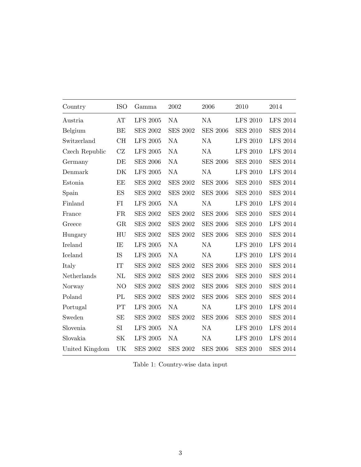| Country        | <b>ISO</b>     | Gamma           | 2002            | 2006            | 2010            | 2014            |
|----------------|----------------|-----------------|-----------------|-----------------|-----------------|-----------------|
| Austria        | AT             | <b>LFS 2005</b> | <b>NA</b>       | <b>NA</b>       | <b>LFS 2010</b> | <b>LFS 2014</b> |
| Belgium        | BE             | <b>SES 2002</b> | <b>SES 2002</b> | <b>SES 2006</b> | <b>SES 2010</b> | <b>SES 2014</b> |
| Switzerland    | CH             | <b>LFS 2005</b> | <b>NA</b>       | NA              | <b>LFS 2010</b> | <b>LFS 2014</b> |
| Czech Republic | CZ             | <b>LFS 2005</b> | <b>NA</b>       | NA              | <b>LFS 2010</b> | <b>LFS 2014</b> |
| Germany        | DE             | <b>SES 2006</b> | NA              | <b>SES 2006</b> | <b>SES 2010</b> | <b>SES 2014</b> |
| Denmark        | DK             | <b>LFS 2005</b> | NA              | <b>NA</b>       | <b>LFS 2010</b> | <b>LFS 2014</b> |
| Estonia        | EE             | <b>SES 2002</b> | <b>SES 2002</b> | <b>SES 2006</b> | <b>SES 2010</b> | <b>SES 2014</b> |
| Spain          | ES             | <b>SES 2002</b> | <b>SES 2002</b> | <b>SES 2006</b> | <b>SES 2010</b> | <b>SES 2014</b> |
| Finland        | FI             | <b>LFS 2005</b> | <b>NA</b>       | NA              | <b>LFS 2010</b> | <b>LFS 2014</b> |
| France         | FR             | <b>SES 2002</b> | <b>SES 2002</b> | <b>SES 2006</b> | <b>SES 2010</b> | <b>SES 2014</b> |
| Greece         | <b>GR</b>      | <b>SES 2002</b> | <b>SES 2002</b> | <b>SES 2006</b> | <b>SES 2010</b> | <b>LFS 2014</b> |
| Hungary        | HU             | <b>SES 2002</b> | <b>SES 2002</b> | <b>SES 2006</b> | <b>SES 2010</b> | <b>SES 2014</b> |
| Ireland        | IE             | <b>LFS 2005</b> | NA              | NA              | <b>LFS 2010</b> | <b>LFS 2014</b> |
| Iceland        | IS             | <b>LFS 2005</b> | <b>NA</b>       | NA              | <b>LFS 2010</b> | <b>LFS 2014</b> |
| Italy          | IT             | <b>SES 2002</b> | <b>SES 2002</b> | <b>SES 2006</b> | <b>SES 2010</b> | <b>SES 2014</b> |
| Netherlands    | NL             | <b>SES 2002</b> | <b>SES 2002</b> | <b>SES 2006</b> | <b>SES 2010</b> | <b>SES 2014</b> |
| Norway         | N <sub>O</sub> | <b>SES 2002</b> | <b>SES 2002</b> | <b>SES 2006</b> | <b>SES 2010</b> | <b>SES 2014</b> |
| Poland         | PL             | <b>SES 2002</b> | <b>SES 2002</b> | <b>SES 2006</b> | <b>SES 2010</b> | <b>SES 2014</b> |
| Portugal       | PT             | <b>LFS 2005</b> | NA              | NA              | <b>LFS 2010</b> | <b>LFS 2014</b> |
| Sweden         | SE             | <b>SES 2002</b> | <b>SES 2002</b> | <b>SES 2006</b> | <b>SES 2010</b> | <b>SES 2014</b> |
| Slovenia       | SI             | <b>LFS 2005</b> | <b>NA</b>       | NA              | <b>LFS 2010</b> | <b>LFS 2014</b> |
| Slovakia       | SК             | <b>LFS 2005</b> | <b>NA</b>       | NA              | <b>LFS 2010</b> | <b>LFS 2014</b> |
| United Kingdom | UK             | <b>SES 2002</b> | <b>SES 2002</b> | <b>SES 2006</b> | <b>SES 2010</b> | <b>SES 2014</b> |

<span id="page-2-0"></span>Table 1: Country-wise data input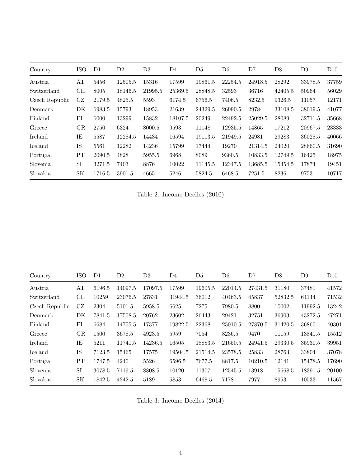| Country        | <b>ISO</b> | D1     | $\rm{D}2$ | D3      | D4      | D <sub>5</sub> | D <sub>6</sub> | D7      | D8      | D9      | D10   |
|----------------|------------|--------|-----------|---------|---------|----------------|----------------|---------|---------|---------|-------|
| Austria        | AT         | 5456   | 12505.5   | 15316   | 17599   | 19861.5        | 22254.5        | 24918.5 | 28292   | 33978.5 | 37759 |
| Switzerland    | CН         | 8005   | 18146.5   | 21995.5 | 25369.5 | 28848.5        | 32593          | 36716   | 42405.5 | 50964   | 56029 |
| Czech Republic | CZ         | 2179.5 | 4825.5    | 5593    | 6174.5  | 6756.5         | 7406.5         | 8232.5  | 9326.5  | 11057   | 12171 |
| Denmark        | DK         | 6983.5 | 15793     | 18953   | 21639   | 24329.5        | 26990.5        | 29784   | 33108.5 | 38019.5 | 41077 |
| Finland        | FI         | 6000   | 13299     | 15832   | 18107.5 | 20249          | 22492.5        | 25029.5 | 28089   | 32711.5 | 35668 |
| Greece         | GR         | 2750   | 6324      | 8000.5  | 9593    | 11148          | 12935.5        | 14865   | 17212   | 20967.5 | 23333 |
| Ireland        | ΙE         | 5587   | 12284.5   | 14434   | 16594   | 19113.5        | 21949.5        | 24981   | 29283   | 36028.5 | 40066 |
| Iceland        | IS         | 5561   | 12282     | 14236   | 15799   | 17444          | 19270          | 21314.5 | 24020   | 28660.5 | 31690 |
| Portugal       | PΤ         | 2090.5 | 4828      | 5955.5  | 6968    | 8089           | 9360.5         | 10833.5 | 12749.5 | 16425   | 18975 |
| Slovenia       | SI         | 3271.5 | 7403      | 8876    | 10022   | 11145.5        | 12347.5        | 13685.5 | 15354.5 | 17874   | 19451 |
| Slovakia       | SК         | 1716.5 | 3901.5    | 4665    | 5246    | 5824.5         | 6468.5         | 7251.5  | 8236    | 9753    | 10717 |

Table 2: Income Deciles (2010)

| Country        | ISO | D1     | D2      | D3      | D4      | D <sub>5</sub> | D <sub>6</sub> | D7      | D <sub>8</sub> | D9      | D10   |
|----------------|-----|--------|---------|---------|---------|----------------|----------------|---------|----------------|---------|-------|
| Austria        | AΤ  | 6196.5 | 14097.5 | 17097.5 | 17599   | 19605.5        | 22014.5        | 27431.5 | 31180          | 37481   | 41572 |
| Switzerland    | CН  | 10259  | 23076.5 | 27831   | 31944.5 | 36012          | 40463.5        | 45837   | 52832.5        | 64144   | 71532 |
| Czech Republic | CZ  | 2304   | 5101.5  | 5958.5  | 6625    | 7275           | 7980.5         | 8800    | 10002          | 11992.5 | 13242 |
| Denmark        | DK  | 7841.5 | 17508.5 | 20762   | 23602   | 26443          | 29421          | 32751   | 36903          | 43272.5 | 47271 |
| Finland        | FI  | 6684   | 14755.5 | 17377   | 19822.5 | 22368          | 25010.5        | 27870.5 | 31420.5        | 36860   | 40301 |
| Greece         | GR. | 1500   | 3678.5  | 4923.5  | 5959    | 7054           | 8236.5         | 9470    | 11159          | 13841.5 | 15512 |
| Ireland        | ΙE  | 5211   | 11741.5 | 14236.5 | 16505   | 18883.5        | 21650.5        | 24941.5 | 29330.5        | 35930.5 | 39951 |
| Iceland        | IS  | 7123.5 | 15465   | 17575   | 19504.5 | 21514.5        | 23578.5        | 25833   | 28763          | 33804   | 37078 |
| Portugal       | PΤ  | 1747.5 | 4240    | 5526    | 6596.5  | 7677.5         | 8817.5         | 10210.5 | 12141          | 15478.5 | 17690 |
| Slovenia       | SI  | 3078.5 | 7119.5  | 8808.5  | 10120   | 11307          | 12545.5        | 13918   | 15668.5        | 18391.5 | 20100 |
| Slovakia       | SК  | 1842.5 | 4242.5  | 5189    | 5853    | 6468.5         | 7178           | 7977    | 8953           | 10533   | 11567 |

Table 3: Income Deciles (2014)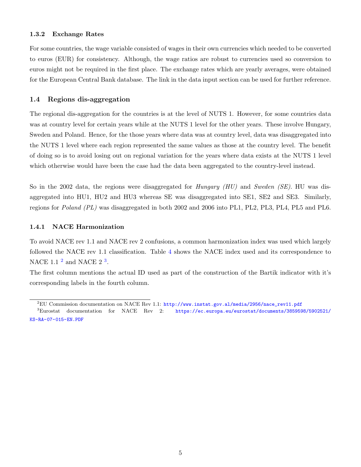### 1.3.2 Exchange Rates

For some countries, the wage variable consisted of wages in their own currencies which needed to be converted to euros (EUR) for consistency. Although, the wage ratios are robust to currencies used so conversion to euros might not be required in the first place. The exchange rates which are yearly averages, were obtained for the European Central Bank database. The link in the data input section can be used for further reference.

### 1.4 Regions dis-aggregation

The regional dis-aggregation for the countries is at the level of NUTS 1. However, for some countries data was at country level for certain years while at the NUTS 1 level for the other years. These involve Hungary, Sweden and Poland. Hence, for the those years where data was at country level, data was disaggregated into the NUTS 1 level where each region represented the same values as those at the country level. The benefit of doing so is to avoid losing out on regional variation for the years where data exists at the NUTS 1 level which otherwise would have been the case had the data been aggregated to the country-level instead.

So in the 2002 data, the regions were disaggregated for *Hungary (HU)* and *Sweden (SE)*. HU was disaggregated into HU1, HU2 and HU3 whereas SE was disaggregated into SE1, SE2 and SE3. Similarly, regions for Poland (PL) was disaggregated in both 2002 and 2006 into PL1, PL2, PL3, PL4, PL5 and PL6.

### 1.4.1 NACE Harmonization

To avoid NACE rev 1.1 and NACE rev 2 confusions, a common harmonization index was used which largely followed the NACE rev 1.1 classification. Table [4](#page-5-0) shows the NACE index used and its correspondence to NACE 1.1  $^2$  $^2$  and NACE 2  $^3$  $^3$ .

The first column mentions the actual ID used as part of the construction of the Bartik indicator with it's corresponding labels in the fourth column.

<span id="page-4-1"></span><span id="page-4-0"></span><sup>2</sup>EU Commission documentation on NACE Rev 1.1: [http://www.instat.gov.al/media/2956/nace\\_rev11.pdf](http://www.instat.gov.al/media/2956/nace_rev11.pdf)

<sup>3</sup>Eurostat documentation for NACE Rev 2: [https://ec.europa.eu/eurostat/documents/3859598/5902521/](https://ec.europa.eu/eurostat/documents/3859598/5902521/KS-RA-07-015-EN.PDF) [KS-RA-07-015-EN.PDF](https://ec.europa.eu/eurostat/documents/3859598/5902521/KS-RA-07-015-EN.PDF)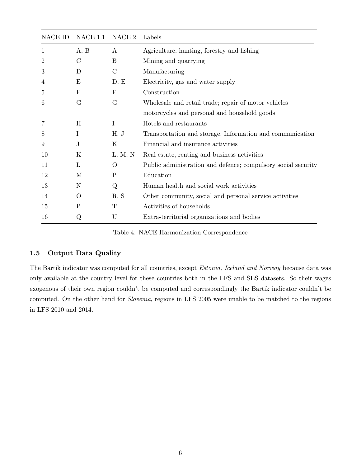| NACE ID | NACE 1.1         | NACE 2        | Labels                                                        |
|---------|------------------|---------------|---------------------------------------------------------------|
| 1       | A, B             | A             | Agriculture, hunting, forestry and fishing                    |
| 2       | $\mathcal{C}$    | B             | Mining and quarrying                                          |
| 3       | D                | $\mathcal{C}$ | Manufacturing                                                 |
| 4       | Ε                | D, E          | Electricity, gas and water supply                             |
| 5       | $\boldsymbol{F}$ | $\mathbf F$   | Construction                                                  |
| 6       | G                | G             | Wholesale and retail trade; repair of motor vehicles          |
|         |                  |               | motorcycles and personal and household goods                  |
| 7       | H                | I             | Hotels and restaurants                                        |
| 8       | I                | H, J          | Transportation and storage, Information and communication     |
| 9       | J                | K             | Financial and insurance activities                            |
| 10      | Κ                | L, M, N       | Real estate, renting and business activities                  |
| 11      | L                | O             | Public administration and defence; compulsory social security |
| 12      | $\mathbf{M}$     | P             | Education                                                     |
| 13      | N                | Q             | Human health and social work activities                       |
| 14      | O                | R, S          | Other community, social and personal service activities       |
| 15      | $\mathbf P$      | Т             | Activities of households                                      |
| 16      | Q                | U             | Extra-territorial organizations and bodies                    |

<span id="page-5-0"></span>Table 4: NACE Harmonization Correspondence

## 1.5 Output Data Quality

The Bartik indicator was computed for all countries, except Estonia, Iceland and Norway because data was only available at the country level for these countries both in the LFS and SES datasets. So their wages exogenous of their own region couldn't be computed and correspondingly the Bartik indicator couldn't be computed. On the other hand for Slovenia, regions in LFS 2005 were unable to be matched to the regions in LFS 2010 and 2014.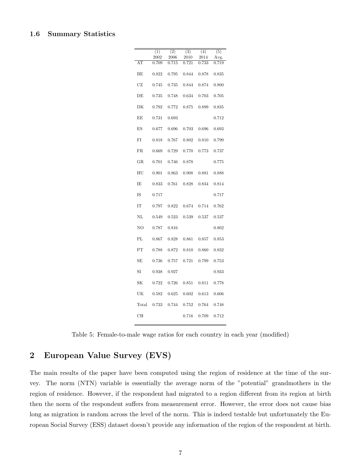### 1.6 Summary Statistics

|             | (1)<br>2002 | (2)<br>2006 | (3)<br>2010 | (4)<br>2014 | (5)<br>Avg. |
|-------------|-------------|-------------|-------------|-------------|-------------|
| AT          | 0.709       | 0.715       | 0.721       | 0.733       | 0.719       |
| ВE          | 0.822       | 0.795       | 0.844       | 0.878       | 0.835       |
| CZ          | 0.745       | 0.735       | 0.844       | 0.874       | 0.800       |
| DE          | 0.735       | 0.748       | 0.634       | 0.703       | 0.705       |
| DK          | 0.792       | 0.772       | 0.875       | 0.899       | 0.835       |
| EЕ          | 0.731       | 0.693       |             |             | 0.712       |
| ΕS          | 0.677       | 0.696       | 0.703       | 0.696       | 0.693       |
| FI          | 0.818       | 0.767       | 0.802       | 0.810       | 0.799       |
| FR.         | 0.669       | 0.729       | 0.770       | 0.773       | 0.737       |
| $_{\rm GR}$ | 0.701       | 0.746       | 0.878       |             | 0.775       |
| НU          | 0.901       | 0.863       | 0.908       | 0.881       | 0.888       |
| ΙE          | 0.833       | 0.761       | 0.828       | 0.834       | 0.814       |
| IS          | 0.717       |             |             |             | 0.717       |
| IT          | 0.797       | 0.822       | 0.674       | 0.714       | 0.762       |
| NL          | 0.549       | 0.523       | 0.539       | 0.537       | 0.537       |
| NΟ          | 0.787       | 0.816       |             |             | $\,0.802\,$ |
| PL          | 0.867       | 0.828       | 0.861       | 0.857       | 0.853       |
| PT          | 0.788       | 0.872       | 0.810       | 0.860       | 0.832       |
| SЕ          | 0.736       | 0.757       | 0.721       | 0.799       | 0.753       |
| SI          | 0.938       | 0.927       |             |             | 0.933       |
| SК          | 0.722       | 0.726       | 0.851       | 0.811       | 0.778       |
| UK          | 0.582       | 0.625       | 0.602       | 0.613       | 0.606       |
| Total       | 0.733       | 0.744       | 0.752       | 0.764       | 0.748       |
| CН          |             |             | 0.716       | 0.709       | 0.712       |

Table 5: Female-to-male wage ratios for each country in each year (modified)

# 2 European Value Survey (EVS)

The main results of the paper have been computed using the region of residence at the time of the survey. The norm (NTN) variable is essentially the average norm of the "potential" grandmothers in the region of residence. However, if the respondent had migrated to a region different from its region at birth then the norm of the respondent suffers from measurement error. However, the error does not cause bias long as migration is random across the level of the norm. This is indeed testable but unfortunately the European Social Survey (ESS) dataset doesn't provide any information of the region of the respondent at birth.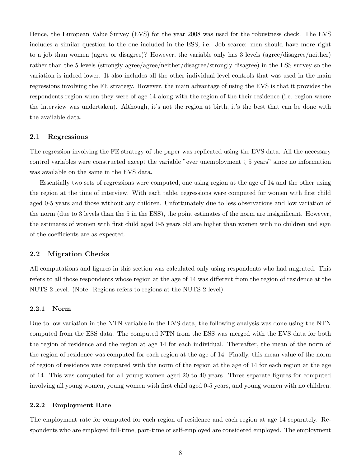Hence, the European Value Survey (EVS) for the year 2008 was used for the robustness check. The EVS includes a similar question to the one included in the ESS, i.e. Job scarce: men should have more right to a job than women (agree or disagree)? However, the variable only has 3 levels (agree/disagree/neither) rather than the 5 levels (strongly agree/agree/neither/disagree/strongly disagree) in the ESS survey so the variation is indeed lower. It also includes all the other individual level controls that was used in the main regressions involving the FE strategy. However, the main advantage of using the EVS is that it provides the respondents region when they were of age 14 along with the region of the their residence (i.e. region where the interview was undertaken). Although, it's not the region at birth, it's the best that can be done with the available data.

#### 2.1 Regressions

The regression involving the FE strategy of the paper was replicated using the EVS data. All the necessary control variables were constructed except the variable "ever unemployment  $\zeta$  5 years" since no information was available on the same in the EVS data.

Essentially two sets of regressions were computed, one using region at the age of 14 and the other using the region at the time of interview. With each table, regressions were computed for women with first child aged 0-5 years and those without any children. Unfortunately due to less observations and low variation of the norm (due to 3 levels than the 5 in the ESS), the point estimates of the norm are insignificant. However, the estimates of women with first child aged 0-5 years old are higher than women with no children and sign of the coefficients are as expected.

### 2.2 Migration Checks

All computations and figures in this section was calculated only using respondents who had migrated. This refers to all those respondents whose region at the age of 14 was different from the region of residence at the NUTS 2 level. (Note: Regions refers to regions at the NUTS 2 level).

#### 2.2.1 Norm

Due to low variation in the NTN variable in the EVS data, the following analysis was done using the NTN computed from the ESS data. The computed NTN from the ESS was merged with the EVS data for both the region of residence and the region at age 14 for each individual. Thereafter, the mean of the norm of the region of residence was computed for each region at the age of 14. Finally, this mean value of the norm of region of residence was compared with the norm of the region at the age of 14 for each region at the age of 14. This was computed for all young women aged 20 to 40 years. Three separate figures for computed involving all young women, young women with first child aged 0-5 years, and young women with no children.

#### 2.2.2 Employment Rate

The employment rate for computed for each region of residence and each region at age 14 separately. Respondents who are employed full-time, part-time or self-employed are considered employed. The employment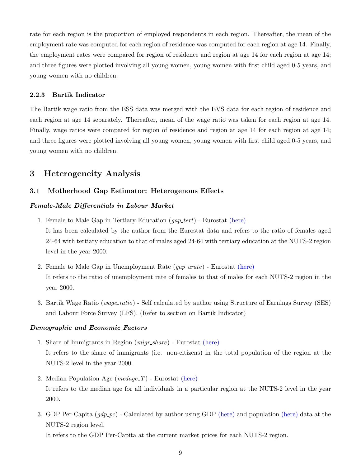rate for each region is the proportion of employed respondents in each region. Thereafter, the mean of the employment rate was computed for each region of residence was computed for each region at age 14. Finally, the employment rates were compared for region of residence and region at age 14 for each region at age 14; and three figures were plotted involving all young women, young women with first child aged 0-5 years, and young women with no children.

### 2.2.3 Bartik Indicator

The Bartik wage ratio from the ESS data was merged with the EVS data for each region of residence and each region at age 14 separately. Thereafter, mean of the wage ratio was taken for each region at age 14. Finally, wage ratios were compared for region of residence and region at age 14 for each region at age 14; and three figures were plotted involving all young women, young women with first child aged 0-5 years, and young women with no children.

# 3 Heterogeneity Analysis

### 3.1 Motherhood Gap Estimator: Heterogenous Effects

### Female-Male Differentials in Labour Market

- 1. Female to Male Gap in Tertiary Education (gap tert) Eurostat [\(here\)](https://ec.europa.eu/eurostat/databrowser/bookmark/af67fc04-abff-4ef6-9a3e-7656b509d10a?lang=en) It has been calculated by the author from the Eurostat data and refers to the ratio of females aged 24-64 with tertiary education to that of males aged 24-64 with tertiary education at the NUTS-2 region level in the year 2000.
- 2. Female to Male Gap in Unemployment Rate  $(qap\_urate)$  Eurostat [\(here\)](https://ec.europa.eu/eurostat/databrowser/bookmark/d7347032-fceb-4ef2-9d44-4e8a36fd0037?lang=en) It refers to the ratio of unemployment rate of females to that of males for each NUTS-2 region in the year 2000.
- 3. Bartik Wage Ratio (wage ratio) Self calculated by author using Structure of Earnings Survey (SES) and Labour Force Survey (LFS). (Refer to section on Bartik Indicator)

### Demographic and Economic Factors

- 1. Share of Immigrants in Region (migr share) Eurostat [\(here\)](https://ec.europa.eu/eurostat/databrowser/view/lfst_r_lfsd2pwn/default/table?lang=en) It refers to the share of immigrants (i.e. non-citizens) in the total population of the region at the NUTS-2 level in the year 2000.
- 2. Median Population Age  $(medage_T)$  Eurostat [\(here\)](https://ec.europa.eu/eurostat/databrowser/bookmark/1174012f-7698-453b-ba98-60a169268916?lang=en) It refers to the median age for all individuals in a particular region at the NUTS-2 level in the year 2000.
- 3. GDP Per-Capita  $(gdp\ p c)$  Calculated by author using GDP [\(here\)](https://ec.europa.eu/eurostat/databrowser/bookmark/05fc5097-c583-4469-9e1d-6339494ed0bc?lang=en) and population (here) data at the NUTS-2 region level.

It refers to the GDP Per-Capita at the current market prices for each NUTS-2 region.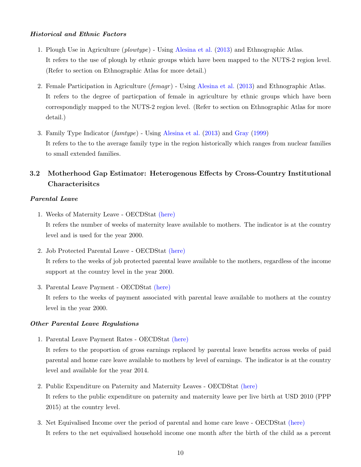### Historical and Ethnic Factors

- 1. Plough Use in Agriculture (plowtype) Using [Alesina et al.](#page-12-0) [\(2013\)](#page-12-0) and Ethnographic Atlas. It refers to the use of plough by ethnic groups which have been mapped to the NUTS-2 region level. (Refer to section on Ethnographic Atlas for more detail.)
- 2. Female Participation in Agriculture (femagr) Using [Alesina et al.](#page-12-0) [\(2013\)](#page-12-0) and Ethnographic Atlas. It refers to the degree of particpation of female in agriculture by ethnic groups which have been correspondigly mapped to the NUTS-2 region level. (Refer to section on Ethnographic Atlas for more detail.)
- 3. Family Type Indicator (famtype) Using [Alesina et al.](#page-12-0) [\(2013\)](#page-12-0) and [Gray](#page-12-1) [\(1999\)](#page-12-1) It refers to the to the average family type in the region historically which ranges from nuclear families to small extended families.

# 3.2 Motherhood Gap Estimator: Heterogenous Effects by Cross-Country Institutional Characterisitcs

### Parental Leave

- 1. Weeks of Maternity Leave OECDStat [\(here\)](https://www.oecd.org/els/family/PF2_5_Trends_in_leave_entitlements_around_childbirth.xlsx) It refers the number of weeks of maternity leave available to mothers. The indicator is at the country level and is used for the year 2000.
- 2. Job Protected Parental Leave OECDStat [\(here\)](https://www.oecd.org/els/family/PF2_5_Trends_in_leave_entitlements_around_childbirth.xlsx) It refers to the weeks of job protected parental leave available to the mothers, regardless of the income support at the country level in the year 2000.
- 3. Parental Leave Payment OECDStat [\(here\)](https://www.oecd.org/els/family/PF2_5_Trends_in_leave_entitlements_around_childbirth.xlsx)

It refers to the weeks of payment associated with parental leave available to mothers at the country level in the year 2000.

### Other Parental Leave Regulations

1. Parental Leave Payment Rates - OECDStat [\(here\)](https://www.oecd.org/els/family/PF2_4_Parental_leave_replacement_rates.xlsx)

It refers to the proportion of gross earnings replaced by parental leave benefits across weeks of paid parental and home care leave available to mothers by level of earnings. The indicator is at the country level and available for the year 2014.

- 2. Public Expenditure on Paternity and Maternity Leaves OECDStat [\(here\)](https://www.oecd.org/els/soc/PF2_1_Parental_leave_systems.xlsx) It refers to the public expenditure on paternity and maternity leave per live birth at USD 2010 (PPP 2015) at the country level.
- 3. Net Equivalised Income over the period of parental and home care leave OECDStat [\(here\)](https://www.oecd.org/els/family/PF2_4_Parental_leave_replacement_rates.xlsx) It refers to the net equivalised household income one month after the birth of the child as a percent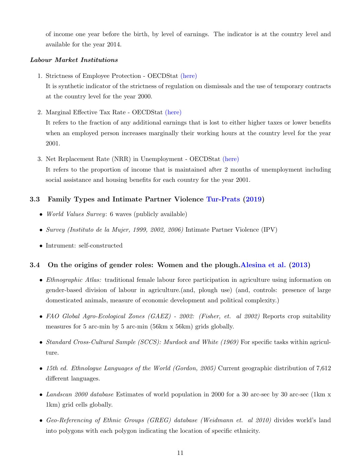of income one year before the birth, by level of earnings. The indicator is at the country level and available for the year 2014.

## Labour Market Institutions

1. Strictness of Employee Protection - OECDStat [\(here\)](https://stats.oecd.org/Index.aspx?DataSetCode=EPL_CD)

It is synthetic indicator of the strictness of regulation on dismissals and the use of temporary contracts at the country level for the year 2000.

2. Marginal Effective Tax Rate - OECDStat [\(here\)](https://stats.oecd.org/Index.aspx?DataSetCode=METR)

It refers to the fraction of any additional earnings that is lost to either higher taxes or lower benefits when an employed person increases marginally their working hours at the country level for the year 2001.

3. Net Replacement Rate (NRR) in Unemployment - OECDStat [\(here\)](https://stats.oecd.org/Index.aspx?DataSetCode=NRR)

It refers to the proportion of income that is maintained after 2 months of unemployment including social assistance and housing benefits for each country for the year 2001.

# 3.3 Family Types and Intimate Partner Violence [Tur-Prats](#page-12-2) [\(2019\)](#page-12-2)

- *World Values Survey*: 6 waves (publicly available)
- Survey (Instituto de la Mujer, 1999, 2002, 2006) Intimate Partner Violence (IPV)
- Intrument: self-constructed

# 3.4 On the origins of gender roles: Women and the plough[.Alesina et al.](#page-12-0) [\(2013\)](#page-12-0)

- *Ethnographic Atlas:* traditional female labour force participation in agriculture using information on gender-based division of labour in agriculture.(and, plough use) (and, controls: presence of large domesticated animals, measure of economic development and political complexity.)
- FAO Global Agro-Ecological Zones (GAEZ) 2002: (Fisher, et. al 2002) Reports crop suitability measures for 5 arc-min by 5 arc-min (56km x 56km) grids globally.
- Standard Cross-Cultural Sample (SCCS): Murdock and White (1969) For specific tasks within agriculture.
- 15th ed. Ethnologue Languages of the World (Gordon, 2005) Current geographic distribution of 7,612 different languages.
- Landscan 2000 database Estimates of world population in 2000 for a 30 arc-sec by 30 arc-sec (1km x 1km) grid cells globally.
- Geo-Referencing of Ethnic Groups (GREG) database (Weidmann et. al 2010) divides world's land into polygons with each polygon indicating the location of specific ethnicity.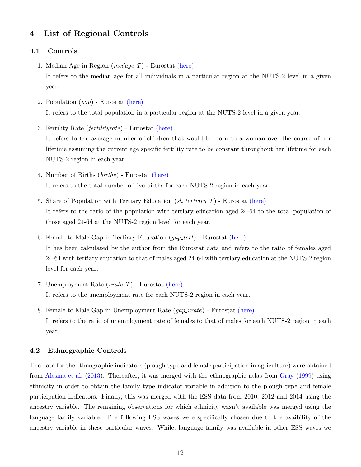# 4 List of Regional Controls

### 4.1 Controls

- 1. Median Age in Region  $(medage_T)$  Eurostat [\(here\)](https://ec.europa.eu/eurostat/databrowser/bookmark/1174012f-7698-453b-ba98-60a169268916?lang=en) It refers to the median age for all individuals in a particular region at the NUTS-2 level in a given year.
- 2. Population (pop) Eurostat [\(here\)](https://ec.europa.eu/eurostat/databrowser/bookmark/05fc5097-c583-4469-9e1d-6339494ed0bc?lang=en) It refers to the total population in a particular region at the NUTS-2 level in a given year.
- 3. Fertility Rate (fertilityrate) Eurostat [\(here\)](https://ec.europa.eu/eurostat/databrowser/bookmark/d67fd60b-e217-431d-981d-0645680ac9bd?lang=en)

It refers to the average number of children that would be born to a woman over the course of her lifetime assuming the current age specific fertility rate to be constant throughout her lifetime for each NUTS-2 region in each year.

- 4. Number of Births (births) Eurostat [\(here\)](https://ec.europa.eu/eurostat/databrowser/bookmark/e3fa5921-57f5-4f5f-bc1b-0a4c56c94d45?lang=en) It refers to the total number of live births for each NUTS-2 region in each year.
- 5. Share of Population with Tertiary Education  $(sh_{\text{-}}tertiary_{\text{-}}T)$  Eurostat [\(here\)](https://ec.europa.eu/eurostat/databrowser/bookmark/af67fc04-abff-4ef6-9a3e-7656b509d10a?lang=en) It refers to the ratio of the population with tertiary education aged 24-64 to the total population of those aged 24-64 at the NUTS-2 region level for each year.
- 6. Female to Male Gap in Tertiary Education  $(qap\_tert)$  Eurostat [\(here\)](https://ec.europa.eu/eurostat/databrowser/bookmark/af67fc04-abff-4ef6-9a3e-7656b509d10a?lang=en) It has been calculated by the author from the Eurostat data and refers to the ratio of females aged 24-64 with tertiary education to that of males aged 24-64 with tertiary education at the NUTS-2 region level for each year.
- 7. Unemployment Rate  $(\text{urate}_{T})$  Eurostat [\(here\)](https://ec.europa.eu/eurostat/databrowser/bookmark/d7347032-fceb-4ef2-9d44-4e8a36fd0037?lang=en) It refers to the unemployment rate for each NUTS-2 region in each year.
- 8. Female to Male Gap in Unemployment Rate (gap\_urate) Eurostat [\(here\)](https://ec.europa.eu/eurostat/databrowser/bookmark/d7347032-fceb-4ef2-9d44-4e8a36fd0037?lang=en) It refers to the ratio of unemployment rate of females to that of males for each NUTS-2 region in each year.

### 4.2 Ethnographic Controls

The data for the ethnographic indicators (plough type and female participation in agriculture) were obtained from [Alesina et al.](#page-12-0) [\(2013\)](#page-12-0). Thereafter, it was merged with the ethnographic atlas from [Gray](#page-12-1) [\(1999\)](#page-12-1) using ethnicity in order to obtain the family type indicator variable in addition to the plough type and female participation indicators. Finally, this was merged with the ESS data from 2010, 2012 and 2014 using the ancestry variable. The remaining observations for which ethnicity wasn't available was merged using the language family variable. The following ESS waves were specifically chosen due to the avaibility of the ancestry variable in these particular waves. While, language family was available in other ESS waves we